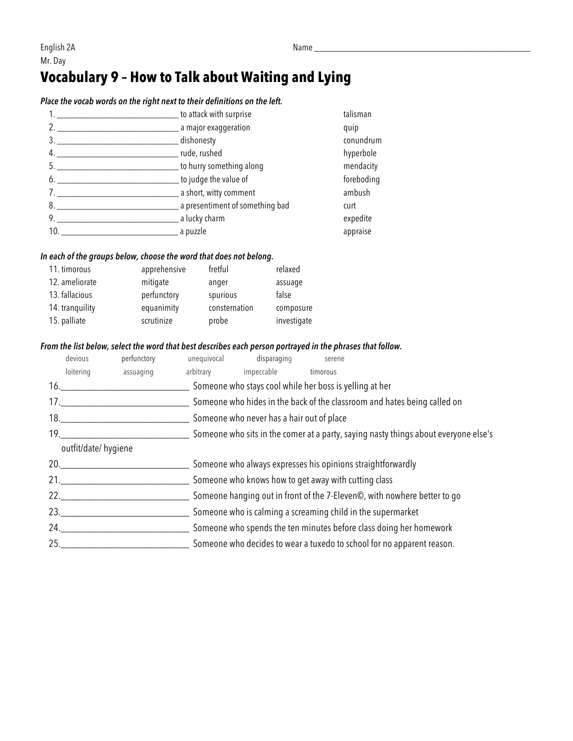# **Vocabulary 9 – How to Talk about Waiting and Lying**

## *Place the vocab words on the right next to their definitions on the left.*

|     | to attack with surprise           | talisman   |
|-----|-----------------------------------|------------|
|     | __ a major exaggeration           | quip       |
|     | _dishonesty                       | conundrum  |
|     | __ rude, rushed                   | hyperbole  |
| 5.  | _ to hurry something along        | mendacity  |
| 6.  | __ to judge the value of          | foreboding |
|     | _ a short, witty comment          | ambush     |
| 8.  | _ a presentiment of something bad | curt       |
| 9.  | a lucky charm                     | expedite   |
| 10. | a puzzle                          | appraise   |

#### *In each of the groups below, choose the word that does not belong.*

| 11. timorous    | apprehensive | fretful       | relaxed     |
|-----------------|--------------|---------------|-------------|
| 12. ameliorate  | mitigate     | anger         | assuage     |
| 13. fallacious  | perfunctory  | spurious      | false       |
| 14. tranquility | equanimity   | consternation | composure   |
| 15. palliate    | scrutinize   | probe         | investigate |

## *From the list below, select the word that best describes each person portrayed in the phrases that follow.*

|     | devious             | perfunctory | unequivocal                                                            | disparaging                               | serene                                                                              |  |
|-----|---------------------|-------------|------------------------------------------------------------------------|-------------------------------------------|-------------------------------------------------------------------------------------|--|
|     | loitering           | assuaging   | arbitrary                                                              | impeccable                                | timorous                                                                            |  |
|     | 16.                 |             |                                                                        |                                           | Someone who stays cool while her boss is yelling at her                             |  |
|     | 17.                 |             |                                                                        |                                           | Someone who hides in the back of the classroom and hates being called on            |  |
|     | 18.                 |             |                                                                        | Someone who never has a hair out of place |                                                                                     |  |
|     | 19.                 |             |                                                                        |                                           | Someone who sits in the comer at a party, saying nasty things about everyone else's |  |
|     | outfit/date/hygiene |             |                                                                        |                                           |                                                                                     |  |
| 20. |                     |             |                                                                        |                                           | Someone who always expresses his opinions straightforwardly                         |  |
|     | 21.                 |             |                                                                        |                                           | Someone who knows how to get away with cutting class                                |  |
|     | 22.                 |             |                                                                        |                                           | Someone hanging out in front of the 7-Eleven©, with nowhere better to go            |  |
|     | 23.                 |             |                                                                        |                                           | Someone who is calming a screaming child in the supermarket                         |  |
|     | 24.                 |             | Someone who spends the ten minutes before class doing her homework     |                                           |                                                                                     |  |
|     | 25.                 |             | Someone who decides to wear a tuxedo to school for no apparent reason. |                                           |                                                                                     |  |